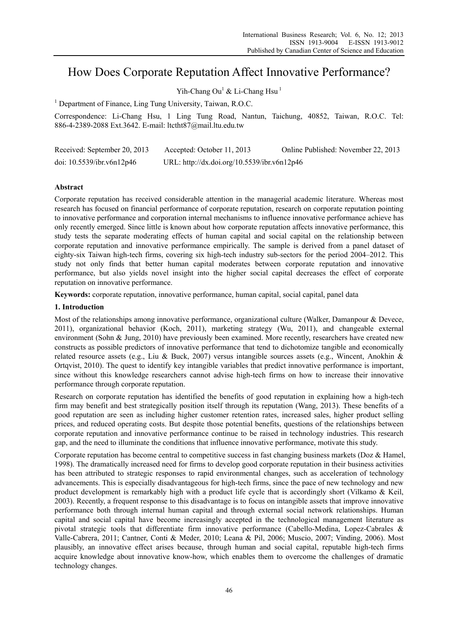# How Does Corporate Reputation Affect Innovative Performance?

Yih-Chang Ou<sup>1</sup> & Li-Chang Hsu<sup>1</sup>

<sup>1</sup> Department of Finance, Ling Tung University, Taiwan, R.O.C.

Correspondence: Li-Chang Hsu, 1 Ling Tung Road, Nantun, Taichung, 40852, Taiwan, R.O.C. Tel: 886-4-2389-2088 Ext.3642. E-mail: ltctht87@mail.ltu.edu.tw

| Received: September 20, 2013 | Accepted: October 11, 2013                  | Online Published: November 22, 2013 |
|------------------------------|---------------------------------------------|-------------------------------------|
| doi: 10.5539/ibr.v6n12p46    | URL: http://dx.doi.org/10.5539/ibr.v6n12p46 |                                     |

# **Abstract**

Corporate reputation has received considerable attention in the managerial academic literature. Whereas most research has focused on financial performance of corporate reputation, research on corporate reputation pointing to innovative performance and corporation internal mechanisms to influence innovative performance achieve has only recently emerged. Since little is known about how corporate reputation affects innovative performance, this study tests the separate moderating effects of human capital and social capital on the relationship between corporate reputation and innovative performance empirically. The sample is derived from a panel dataset of eighty-six Taiwan high-tech firms, covering six high-tech industry sub-sectors for the period 2004–2012. This study not only finds that better human capital moderates between corporate reputation and innovative performance, but also yields novel insight into the higher social capital decreases the effect of corporate reputation on innovative performance.

**Keywords:** corporate reputation, innovative performance, human capital, social capital, panel data

## **1. Introduction**

Most of the relationships among innovative performance, organizational culture (Walker, Damanpour & Devece, 2011), organizational behavior (Koch, 2011), marketing strategy (Wu, 2011), and changeable external environment (Sohn & Jung, 2010) have previously been examined. More recently, researchers have created new constructs as possible predictors of innovative performance that tend to dichotomize tangible and economically related resource assets (e.g., Liu & Buck, 2007) versus intangible sources assets (e.g., Wincent, Anokhin & Ortqvist, 2010). The quest to identify key intangible variables that predict innovative performance is important, since without this knowledge researchers cannot advise high-tech firms on how to increase their innovative performance through corporate reputation.

Research on corporate reputation has identified the benefits of good reputation in explaining how a high-tech firm may benefit and best strategically position itself through its reputation (Wang, 2013). These benefits of a good reputation are seen as including higher customer retention rates, increased sales, higher product selling prices, and reduced operating costs. But despite those potential benefits, questions of the relationships between corporate reputation and innovative performance continue to be raised in technology industries. This research gap, and the need to illuminate the conditions that influence innovative performance, motivate this study.

Corporate reputation has become central to competitive success in fast changing business markets (Doz & Hamel, 1998). The dramatically increased need for firms to develop good corporate reputation in their business activities has been attributed to strategic responses to rapid environmental changes, such as acceleration of technology advancements. This is especially disadvantageous for high-tech firms, since the pace of new technology and new product development is remarkably high with a product life cycle that is accordingly short (Vilkamo & Keil, 2003). Recently, a frequent response to this disadvantage is to focus on intangible assets that improve innovative performance both through internal human capital and through external social network relationships. Human capital and social capital have become increasingly accepted in the technological management literature as pivotal strategic tools that differentiate firm innovative performance (Cabello-Medina, Lopez-Cabrales & Valle-Cabrera, 2011; Cantner, Conti & Meder, 2010; Leana & Pil, 2006; Muscio, 2007; Vinding, 2006). Most plausibly, an innovative effect arises because, through human and social capital, reputable high-tech firms acquire knowledge about innovative know-how, which enables them to overcome the challenges of dramatic technology changes.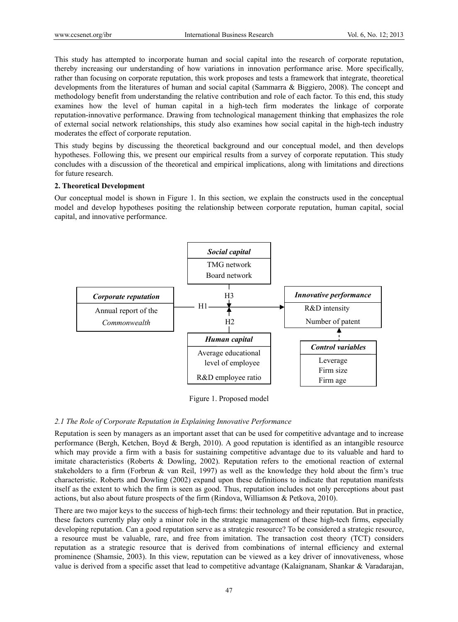This study has attempted to incorporate human and social capital into the research of corporate reputation, thereby increasing our understanding of how variations in innovation performance arise. More specifically, rather than focusing on corporate reputation, this work proposes and tests a framework that integrate, theoretical developments from the literatures of human and social capital (Sammarra & Biggiero, 2008). The concept and methodology benefit from understanding the relative contribution and role of each factor. To this end, this study examines how the level of human capital in a high-tech firm moderates the linkage of corporate reputation-innovative performance. Drawing from technological management thinking that emphasizes the role of external social network relationships, this study also examines how social capital in the high-tech industry moderates the effect of corporate reputation.

This study begins by discussing the theoretical background and our conceptual model, and then develops hypotheses. Following this, we present our empirical results from a survey of corporate reputation. This study concludes with a discussion of the theoretical and empirical implications, along with limitations and directions for future research.

#### **2. Theoretical Development**

Our conceptual model is shown in Figure 1. In this section, we explain the constructs used in the conceptual model and develop hypotheses positing the relationship between corporate reputation, human capital, social capital, and innovative performance.



Figure 1. Proposed model

# *2.1 The Role of Corporate Reputation in Explaining Innovative Performance*

Reputation is seen by managers as an important asset that can be used for competitive advantage and to increase performance (Bergh, Ketchen, Boyd & Bergh, 2010). A good reputation is identified as an intangible resource which may provide a firm with a basis for sustaining competitive advantage due to its valuable and hard to imitate characteristics (Roberts & Dowling, 2002). Reputation refers to the emotional reaction of external stakeholders to a firm (Forbrun & van Reil, 1997) as well as the knowledge they hold about the firm's true characteristic. Roberts and Dowling (2002) expand upon these definitions to indicate that reputation manifests itself as the extent to which the firm is seen as good. Thus, reputation includes not only perceptions about past actions, but also about future prospects of the firm (Rindova, Williamson & Petkova, 2010).

There are two major keys to the success of high-tech firms: their technology and their reputation. But in practice, these factors currently play only a minor role in the strategic management of these high-tech firms, especially developing reputation. Can a good reputation serve as a strategic resource? To be considered a strategic resource, a resource must be valuable, rare, and free from imitation. The transaction cost theory (TCT) considers reputation as a strategic resource that is derived from combinations of internal efficiency and external prominence (Shamsie, 2003). In this view, reputation can be viewed as a key driver of innovativeness, whose value is derived from a specific asset that lead to competitive advantage (Kalaignanam, Shankar & Varadarajan,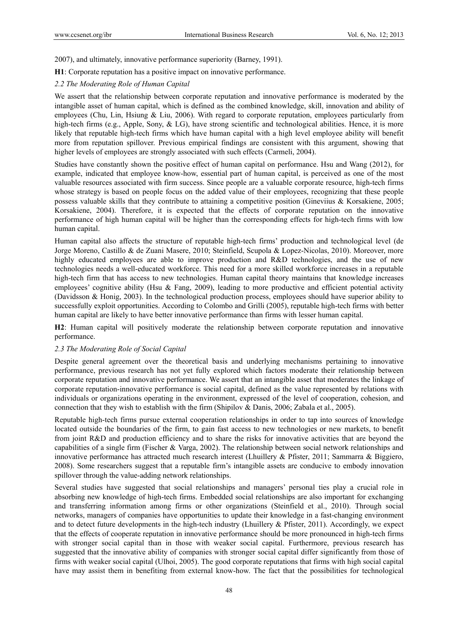2007), and ultimately, innovative performance superiority (Barney, 1991).

**H1**: Corporate reputation has a positive impact on innovative performance.

# *2.2 The Moderating Role of Human Capital*

We assert that the relationship between corporate reputation and innovative performance is moderated by the intangible asset of human capital, which is defined as the combined knowledge, skill, innovation and ability of employees (Chu, Lin, Hsiung & Liu, 2006). With regard to corporate reputation, employees particularly from high-tech firms (e.g., Apple, Sony, & LG), have strong scientific and technological abilities. Hence, it is more likely that reputable high-tech firms which have human capital with a high level employee ability will benefit more from reputation spillover. Previous empirical findings are consistent with this argument, showing that higher levels of employees are strongly associated with such effects (Carmeli, 2004).

Studies have constantly shown the positive effect of human capital on performance. Hsu and Wang (2012), for example, indicated that employee know-how, essential part of human capital, is perceived as one of the most valuable resources associated with firm success. Since people are a valuable corporate resource, high-tech firms whose strategy is based on people focus on the added value of their employees, recognizing that these people possess valuable skills that they contribute to attaining a competitive position (Gineviius & Korsakiene, 2005; Korsakiene, 2004). Therefore, it is expected that the effects of corporate reputation on the innovative performance of high human capital will be higher than the corresponding effects for high-tech firms with low human capital.

Human capital also affects the structure of reputable high-tech firms' production and technological level (de Jorge Moreno, Castillo & de Zuani Masere, 2010; Steinfield, Scupola & Lopez-Nicolas, 2010). Moreover, more highly educated employees are able to improve production and R&D technologies, and the use of new technologies needs a well-educated workforce. This need for a more skilled workforce increases in a reputable high-tech firm that has access to new technologies. Human capital theory maintains that knowledge increases employees' cognitive ability (Hsu & Fang, 2009), leading to more productive and efficient potential activity (Davidsson & Honig, 2003). In the technological production process, employees should have superior ability to successfully exploit opportunities. According to Colombo and Grilli (2005), reputable high-tech firms with better human capital are likely to have better innovative performance than firms with lesser human capital.

**H2**: Human capital will positively moderate the relationship between corporate reputation and innovative performance.

# *2.3 The Moderating Role of Social Capital*

Despite general agreement over the theoretical basis and underlying mechanisms pertaining to innovative performance, previous research has not yet fully explored which factors moderate their relationship between corporate reputation and innovative performance. We assert that an intangible asset that moderates the linkage of corporate reputation-innovative performance is social capital, defined as the value represented by relations with individuals or organizations operating in the environment, expressed of the level of cooperation, cohesion, and connection that they wish to establish with the firm (Shipilov & Danis, 2006; Zabala et al., 2005).

Reputable high-tech firms pursue external cooperation relationships in order to tap into sources of knowledge located outside the boundaries of the firm, to gain fast access to new technologies or new markets, to benefit from joint R&D and production efficiency and to share the risks for innovative activities that are beyond the capabilities of a single firm (Fischer & Varga, 2002). The relationship between social network relationships and innovative performance has attracted much research interest (Lhuillery & Pfister, 2011; Sammarra & Biggiero, 2008). Some researchers suggest that a reputable firm's intangible assets are conducive to embody innovation spillover through the value-adding network relationships.

Several studies have suggested that social relationships and managers' personal ties play a crucial role in absorbing new knowledge of high-tech firms. Embedded social relationships are also important for exchanging and transferring information among firms or other organizations (Steinfield et al., 2010). Through social networks, managers of companies have opportunities to update their knowledge in a fast-changing environment and to detect future developments in the high-tech industry (Lhuillery & Pfister, 2011). Accordingly, we expect that the effects of cooperate reputation in innovative performance should be more pronounced in high-tech firms with stronger social capital than in those with weaker social capital. Furthermore, previous research has suggested that the innovative ability of companies with stronger social capital differ significantly from those of firms with weaker social capital (Ulhoi, 2005). The good corporate reputations that firms with high social capital have may assist them in benefiting from external know-how. The fact that the possibilities for technological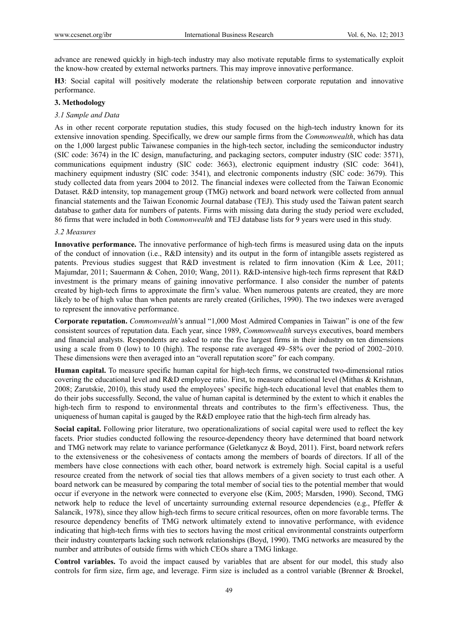advance are renewed quickly in high-tech industry may also motivate reputable firms to systematically exploit the know-how created by external networks partners. This may improve innovative performance.

**H3**: Social capital will positively moderate the relationship between corporate reputation and innovative performance.

### **3. Methodology**

### *3.1 Sample and Data*

As in other recent corporate reputation studies, this study focused on the high-tech industry known for its extensive innovation spending. Specifically, we drew our sample firms from the *Commonwealth*, which has data on the 1,000 largest public Taiwanese companies in the high-tech sector, including the semiconductor industry (SIC code: 3674) in the IC design, manufacturing, and packaging sectors, computer industry (SIC code: 3571), communications equipment industry (SIC code: 3663), electronic equipment industry (SIC code: 3641), machinery equipment industry (SIC code: 3541), and electronic components industry (SIC code: 3679). This study collected data from years 2004 to 2012. The financial indexes were collected from the Taiwan Economic Dataset. R&D intensity, top management group (TMG) network and board network were collected from annual financial statements and the Taiwan Economic Journal database (TEJ). This study used the Taiwan patent search database to gather data for numbers of patents. Firms with missing data during the study period were excluded, 86 firms that were included in both *Commonwealth* and TEJ database lists for 9 years were used in this study.

#### *3.2 Measures*

**Innovative performance.** The innovative performance of high-tech firms is measured using data on the inputs of the conduct of innovation (i.e., R&D intensity) and its output in the form of intangible assets registered as patents. Previous studies suggest that R&D investment is related to firm innovation (Kim & Lee, 2011; Majumdar, 2011; Sauermann & Cohen, 2010; Wang, 2011). R&D-intensive high-tech firms represent that R&D investment is the primary means of gaining innovative performance. I also consider the number of patents created by high-tech firms to approximate the firm's value. When numerous patents are created, they are more likely to be of high value than when patents are rarely created (Griliches, 1990). The two indexes were averaged to represent the innovative performance.

**Corporate reputation.** *Commonwealth*'s annual "1,000 Most Admired Companies in Taiwan" is one of the few consistent sources of reputation data. Each year, since 1989, *Commonwealth* surveys executives, board members and financial analysts. Respondents are asked to rate the five largest firms in their industry on ten dimensions using a scale from 0 (low) to 10 (high). The response rate averaged 49–58% over the period of 2002–2010. These dimensions were then averaged into an "overall reputation score" for each company.

**Human capital.** To measure specific human capital for high-tech firms, we constructed two-dimensional ratios covering the educational level and R&D employee ratio. First, to measure educational level (Mithas & Krishnan, 2008; Zarutskie, 2010), this study used the employees' specific high-tech educational level that enables them to do their jobs successfully. Second, the value of human capital is determined by the extent to which it enables the high-tech firm to respond to environmental threats and contributes to the firm's effectiveness. Thus, the uniqueness of human capital is gauged by the R&D employee ratio that the high-tech firm already has.

**Social capital.** Following prior literature, two operationalizations of social capital were used to reflect the key facets. Prior studies conducted following the resource-dependency theory have determined that board network and TMG network may relate to variance performance (Geletkanycz & Boyd, 2011). First, board network refers to the extensiveness or the cohesiveness of contacts among the members of boards of directors. If all of the members have close connections with each other, board network is extremely high. Social capital is a useful resource created from the network of social ties that allows members of a given society to trust each other. A board network can be measured by comparing the total member of social ties to the potential member that would occur if everyone in the network were connected to everyone else (Kim, 2005; Marsden, 1990). Second, TMG network help to reduce the level of uncertainty surrounding external resource dependencies (e.g., Pfeffer & Salancik, 1978), since they allow high-tech firms to secure critical resources, often on more favorable terms. The resource dependency benefits of TMG network ultimately extend to innovative performance, with evidence indicating that high-tech firms with ties to sectors having the most critical environmental constraints outperform their industry counterparts lacking such network relationships (Boyd, 1990). TMG networks are measured by the number and attributes of outside firms with which CEOs share a TMG linkage.

**Control variables.** To avoid the impact caused by variables that are absent for our model, this study also controls for firm size, firm age, and leverage. Firm size is included as a control variable (Brenner & Broekel,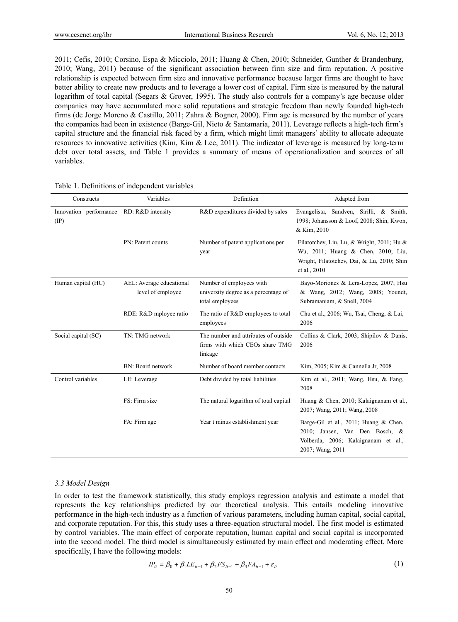2011; Cefis, 2010; Corsino, Espa & Micciolo, 2011; Huang & Chen, 2010; Schneider, Gunther & Brandenburg, 2010; Wang, 2011) because of the significant association between firm size and firm reputation. A positive relationship is expected between firm size and innovative performance because larger firms are thought to have better ability to create new products and to leverage a lower cost of capital. Firm size is measured by the natural logarithm of total capital (Segars & Grover, 1995). The study also controls for a company's age because older companies may have accumulated more solid reputations and strategic freedom than newly founded high-tech firms (de Jorge Moreno & Castillo, 2011; Zahra & Bogner, 2000). Firm age is measured by the number of years the companies had been in existence (Barge-Gil, Nieto & Santamaria, 2011). Leverage reflects a high-tech firm's capital structure and the financial risk faced by a firm, which might limit managers' ability to allocate adequate resources to innovative activities (Kim, Kim & Lee, 2011). The indicator of leverage is measured by long-term debt over total assets, and Table 1 provides a summary of means of operationalization and sources of all variables.

| Constructs                              | Variables                                     | Definition                                                                          | Adapted from                                                                                                                                   |  |  |  |  |
|-----------------------------------------|-----------------------------------------------|-------------------------------------------------------------------------------------|------------------------------------------------------------------------------------------------------------------------------------------------|--|--|--|--|
| Innovation performance<br>$(\text{IP})$ | RD: R&D intensity                             | R&D expenditures divided by sales                                                   | Sandven, Sirilli, & Smith,<br>Evangelista,<br>1998; Johansson & Loof, 2008; Shin, Kwon,<br>& Kim, 2010                                         |  |  |  |  |
|                                         | PN: Patent counts                             | Number of patent applications per<br>year                                           | Filatotchev, Liu, Lu, & Wright, 2011; Hu &<br>Wu, 2011; Huang & Chen, 2010; Liu,<br>Wright, Filatotchev, Dai, & Lu, 2010; Shin<br>et al., 2010 |  |  |  |  |
| Human capital (HC)                      | AEL: Average educational<br>level of employee | Number of employees with<br>university degree as a percentage of<br>total employees | Bayo-Moriones & Lera-Lopez, 2007; Hsu<br>& Wang, 2012; Wang, 2008; Youndt,<br>Subramaniam, & Snell, 2004                                       |  |  |  |  |
|                                         | RDE: R&D mployee ratio                        | The ratio of R&D employees to total<br>employees                                    | Chu et al., 2006; Wu, Tsai, Cheng, & Lai,<br>2006                                                                                              |  |  |  |  |
| Social capital (SC)                     | TN: TMG network                               | The number and attributes of outside<br>firms with which CEOs share TMG<br>linkage  | Collins & Clark, 2003; Shipilov & Danis,<br>2006                                                                                               |  |  |  |  |
|                                         | BN: Board network                             | Number of board member contacts                                                     | Kim, 2005; Kim & Cannella Jr, 2008                                                                                                             |  |  |  |  |
| Control variables                       | LE: Leverage                                  | Debt divided by total liabilities                                                   | Kim et al., 2011; Wang, Hsu, & Fang,<br>2008                                                                                                   |  |  |  |  |
|                                         | FS: Firm size                                 | The natural logarithm of total capital                                              | Huang & Chen, 2010; Kalaignanam et al.,<br>2007; Wang, 2011; Wang, 2008                                                                        |  |  |  |  |
|                                         | FA: Firm age                                  | Year t minus establishment year                                                     | Barge-Gil et al., 2011; Huang & Chen,<br>2010; Jansen, Van Den Bosch, &<br>Volberda, 2006; Kalaignanam et al.,<br>2007; Wang, 2011             |  |  |  |  |

#### Table 1. Definitions of independent variables

#### *3.3 Model Design*

In order to test the framework statistically, this study employs regression analysis and estimate a model that represents the key relationships predicted by our theoretical analysis. This entails modeling innovative performance in the high-tech industry as a function of various parameters, including human capital, social capital, and corporate reputation. For this, this study uses a three-equation structural model. The first model is estimated by control variables. The main effect of corporate reputation, human capital and social capital is incorporated into the second model. The third model is simultaneously estimated by main effect and moderating effect. More specifically, I have the following models:

$$
IP_{it} = \beta_0 + \beta_1 L E_{it-1} + \beta_2 F S_{it-1} + \beta_3 F A_{it-1} + \varepsilon_{it}
$$
\n(1)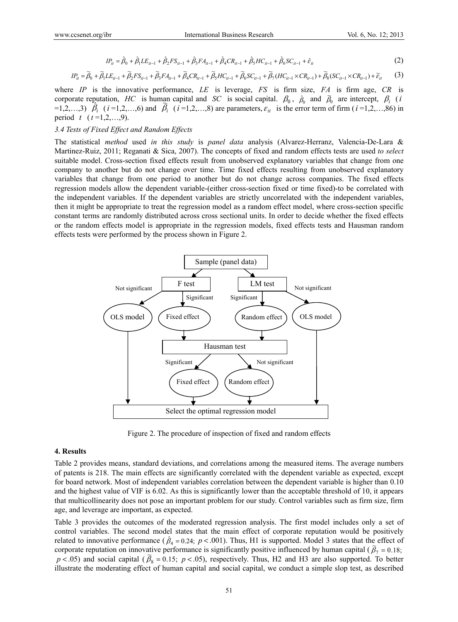$$
IP_{it} = \hat{\beta}_0 + \hat{\beta}_1 LE_{it-1} + \hat{\beta}_2 FS_{it-1} + \hat{\beta}_3 FA_{it-1} + \hat{\beta}_4 CR_{it-1} + \hat{\beta}_5 HC_{it-1} + \hat{\beta}_6 SC_{it-1} + \hat{\varepsilon}_{it}
$$
(2)

$$
IP_{it} = \widetilde{\beta}_0 + \widetilde{\beta}_1 LE_{it-1} + \widetilde{\beta}_2 FS_{it-1} + \widetilde{\beta}_3 FA_{it-1} + \widetilde{\beta}_4 CR_{it-1} + \widetilde{\beta}_5 HC_{it-1} + \widetilde{\beta}_6 SC_{it-1} + \widetilde{\beta}_7 (HC_{it-1} \times CR_{it-1}) + \widetilde{\beta}_8 (SC_{it-1} \times CR_{it-1}) + \widetilde{\varepsilon}_{it} \tag{3}
$$

where *IP* is the innovative performance, *LE* is leverage, *FS* is firm size, *FA* is firm age, *CR* is corporate reputation, *HC* is human capital and *SC* is social capital.  $\beta_0$ ,  $\hat{\beta}_0$  and  $\tilde{\beta}_0$  are intercept,  $\beta_i$  (*i*  $\hat{\rho}_0$  are intercept,  $\rho_i$  (*i* =1,2,…,6) and  $\hat{\beta}_i$  (*i* =1,2,…,8) are parameters,  $\varepsilon_{ii}$  is the error term of firm (*i* =1,2,…,86) in period *t*  $(t=1,2,...,9)$ .

#### *3.4 Tests of Fixed Effect and Random Effects*

The statistical *method* used *in this study* is *panel data* analysis (Alvarez-Herranz, Valencia-De-Lara & Martinez-Ruiz, 2011; Reganati & Sica, 2007). The concepts of fixed and random effects tests are used *to select* suitable model. Cross-section fixed effects result from unobserved explanatory variables that change from one company to another but do not change over time. Time fixed effects resulting from unobserved explanatory variables that change from one period to another but do not change across companies. The fixed effects regression models allow the dependent variable-(either cross-section fixed or time fixed)-to be correlated with the independent variables. If the dependent variables are strictly uncorrelated with the independent variables, then it might be appropriate to treat the regression model as a random effect model, where cross-section specific constant terms are randomly distributed across cross sectional units. In order to decide whether the fixed effects or the random effects model is appropriate in the regression models, fixed effects tests and Hausman random effects tests were performed by the process shown in Figure 2.



Figure 2. The procedure of inspection of fixed and random effects

#### **4. Results**

Table 2 provides means, standard deviations, and correlations among the measured items. The average numbers of patents is 218. The main effects are significantly correlated with the dependent variable as expected, except for board network. Most of independent variables correlation between the dependent variable is higher than 0.10 and the highest value of VIF is 6.02. As this is significantly lower than the acceptable threshold of 10, it appears that multicollinearity does not pose an important problem for our study. Control variables such as firm size, firm age, and leverage are important, as expected.

Table 3 provides the outcomes of the moderated regression analysis. The first model includes only a set of control variables. The second model states that the main effect of corporate reputation would be positively related to innovative performance ( $\hat{\beta}_4$  = 0.24;  $p < .001$ ). Thus, H1 is supported. Model 3 states that the effect of corporate reputation on innovative performance is significantly positive influenced by human capital ( $\tilde{\beta}_7 = 0.18$ ;  $p < .05$ ) and social capital ( $\tilde{\beta}_8 = 0.15$ ;  $p < .05$ ), respectively. Thus, H2 and H3 are also supported. To better illustrate the moderating effect of human capital and social capital, we conduct a simple slop test, as described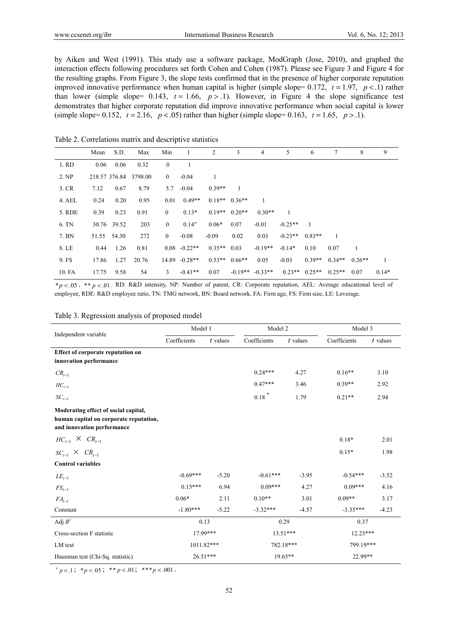by Aiken and West (1991). This study use a software package, ModGraph (Jose, 2010), and graphed the interaction effects following procedures set forth Cohen and Cohen (1987). Please see Figure 3 and Figure 4 for the resulting graphs. From Figure 3, the slope tests confirmed that in the presence of higher corporate reputation improved innovative performance when human capital is higher (simple slope=  $0.172$ ,  $t = 1.97$ ,  $p < 1$ ) rather than lower (simple slope=  $0.143$ ,  $t = 1.66$ ,  $p > 0.1$ ). However, in Figure 4 the slope significance test demonstrates that higher corporate reputation did improve innovative performance when social capital is lower (simple slope= 0.152,  $t = 2.16$ ,  $p < .05$ ) rather than higher (simple slope= 0.163,  $t = 1.65$ ,  $p > .1$ ).

Table 2. Correlations matrix and descriptive statistics

|        | Mean          | S.D. | Max     | Min              | 1                | 2        | 3               | $\overline{4}$      | 5         | 6        | 7        | 8        | 9       |
|--------|---------------|------|---------|------------------|------------------|----------|-----------------|---------------------|-----------|----------|----------|----------|---------|
| 1. RD  | 0.06          | 0.06 | 0.32    | $\mathbf{0}$     |                  |          |                 |                     |           |          |          |          |         |
| 2. NP  | 218.57 376.84 |      | 3798.00 | $\overline{0}$   | $-0.04$          | 1        |                 |                     |           |          |          |          |         |
| 3. CR  | 7.12          | 0.67 | 8.79    | 5.7              | $-0.04$          | $0.39**$ |                 |                     |           |          |          |          |         |
| 4. AEL | 0.24          | 0.20 | 0.95    | 0.01             | $0.49**$         |          | $0.18**$ 0.36** |                     |           |          |          |          |         |
| 5. RDE | 0.39          | 0.23 | 0.91    | $\boldsymbol{0}$ | $0.13*$          |          | $0.19**$ 0.20** | $0.30**$            |           |          |          |          |         |
| 6. TN  | 30.76 39.52   |      | 203     | $\boldsymbol{0}$ | 0.14"            | $0.06*$  | 0.07            | $-0.01$             | $-0.25**$ |          |          |          |         |
| 7. BN  | 51.55 54.30   |      | 272     | $\boldsymbol{0}$ | $-0.08$          | $-0.09$  | 0.02            | 0.03                | $-0.23**$ | $0.83**$ |          |          |         |
| 8. LE  | 0.44          | 1.26 | 0.81    |                  | $0.08 - 0.22**$  | $0.35**$ | 0.03            | $-0.19**$           | $-0.14*$  | 0.10     | 0.07     | 1        |         |
| 9. FS  | 17.86         | 1.27 | 20.76   |                  | $14.89 - 0.28**$ | $0.53**$ | $0.66**$        | 0.05                | $-0.03$   | $0.39**$ | $0.34**$ | $0.26**$ | 1       |
| 10. FA | 17.75         | 9.58 | 54      | 3                | $-0.41**$        | 0.07     |                 | $-0.19**$ $-0.33**$ | $0.23**$  | $0.25**$ | $0.25**$ | 0.07     | $0.14*$ |

\**p* .05 , \*\* *p* .01 . RD: R&D intensity, NP: Number of patent, CR: Corporate reputation, AEL: Average educational level of employee, RDE: R&D employee ratio, TN: TMG network, BN: Board network, FA: Firm age, FS: Firm size, LE: Leverage.

| Table 3. Regression analysis of proposed model |  |  |
|------------------------------------------------|--|--|
|                                                |  |  |

| Independent variable                                                                                         | Model 1      |            | Model 2      |            | Model 3      |            |  |
|--------------------------------------------------------------------------------------------------------------|--------------|------------|--------------|------------|--------------|------------|--|
|                                                                                                              | Coefficients | $t$ values | Coefficients | $t$ values | Coefficients | $t$ values |  |
| <b>Effect of corporate reputation on</b><br>innovation performance                                           |              |            |              |            |              |            |  |
| $CR_{t-1}$                                                                                                   |              |            | $0.24***$    | 4.27       | $0.16**$     | 3.10       |  |
| $HC_{t-1}$                                                                                                   |              |            | $0.47***$    | 3.46       | $0.39**$     | 2.92       |  |
| $SC_{t-1}$                                                                                                   |              |            | $0.18 +$     | 1.79       | $0.21**$     | 2.94       |  |
| Moderating effect of social capital,<br>human capital on corporate reputation,<br>and innovation performance |              |            |              |            |              |            |  |
| $HC_{t-1} \times CR_{t-1}$                                                                                   |              |            |              |            | $0.18*$      | 2.01       |  |
| $SC_{t-1} \times CR_{t-1}$                                                                                   |              |            |              |            | $0.15*$      | 1.98       |  |
| <b>Control variables</b>                                                                                     |              |            |              |            |              |            |  |
| $LE_{t-1}$                                                                                                   | $-0.69***$   | $-5.20$    | $-0.61***$   | $-3.95$    | $-0.54***$   | $-3.52$    |  |
| $FS_{t-1}$                                                                                                   | $0.15***$    | 6.94       | $0.09***$    | 4.27       | $0.09***$    | 4.16       |  |
| $FA_{t-1}$                                                                                                   | $0.06*$      | 2.11       | $0.10**$     | 3.01       | $0.09**$     | 3.17       |  |
| Constant                                                                                                     | $-1.80***$   | $-5.22$    | $-3.32***$   | $-4.57$    | $-3.35***$   | $-4.23$    |  |
| Adj $R^2$                                                                                                    | 0.13         |            | 0.29         |            | 0.37         |            |  |
| Cross-section F statistic                                                                                    | 17.99***     |            | $13.51***$   |            | $12.23***$   |            |  |
| LM test                                                                                                      | 1011.82***   |            | 782.18***    |            | 799.19***    |            |  |
| Hausman test (Chi-Sq. statistic)                                                                             | $26.51***$   |            | $19.65**$    |            | 22.99**      |            |  |

 $\frac{}{p \leq 1$ ; \* $p \leq 0.05$ ; \*\* $p \leq 0.01$ ; \*\*\* $p \leq 0.001$ .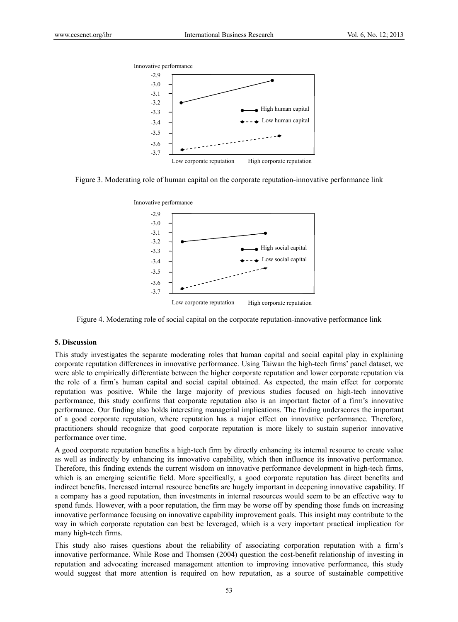

Figure 3. Moderating role of human capital on the corporate reputation-innovative performance link



Figure 4. Moderating role of social capital on the corporate reputation-innovative performance link

#### **5. Discussion**

This study investigates the separate moderating roles that human capital and social capital play in explaining corporate reputation differences in innovative performance. Using Taiwan the high-tech firms' panel dataset, we were able to empirically differentiate between the higher corporate reputation and lower corporate reputation via the role of a firm's human capital and social capital obtained. As expected, the main effect for corporate reputation was positive. While the large majority of previous studies focused on high-tech innovative performance, this study confirms that corporate reputation also is an important factor of a firm's innovative performance. Our finding also holds interesting managerial implications. The finding underscores the important of a good corporate reputation, where reputation has a major effect on innovative performance. Therefore, practitioners should recognize that good corporate reputation is more likely to sustain superior innovative performance over time.

A good corporate reputation benefits a high-tech firm by directly enhancing its internal resource to create value as well as indirectly by enhancing its innovative capability, which then influence its innovative performance. Therefore, this finding extends the current wisdom on innovative performance development in high-tech firms, which is an emerging scientific field. More specifically, a good corporate reputation has direct benefits and indirect benefits. Increased internal resource benefits are hugely important in deepening innovative capability. If a company has a good reputation, then investments in internal resources would seem to be an effective way to spend funds. However, with a poor reputation, the firm may be worse off by spending those funds on increasing innovative performance focusing on innovative capability improvement goals. This insight may contribute to the way in which corporate reputation can best be leveraged, which is a very important practical implication for many high-tech firms.

This study also raises questions about the reliability of associating corporation reputation with a firm's innovative performance. While Rose and Thomsen (2004) question the cost-benefit relationship of investing in reputation and advocating increased management attention to improving innovative performance, this study would suggest that more attention is required on how reputation, as a source of sustainable competitive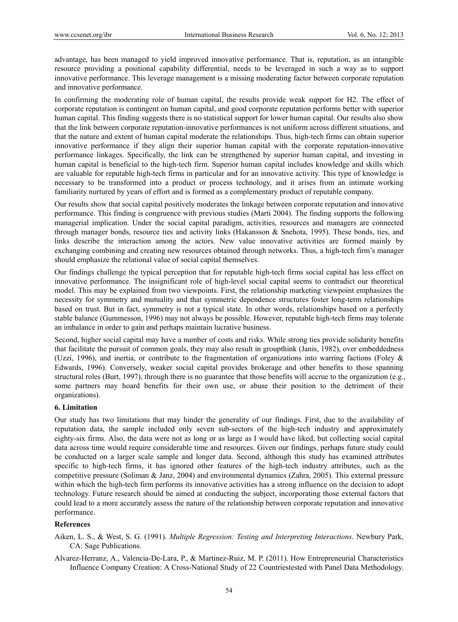advantage, has been managed to yield improved innovative performance. That is, reputation, as an intangible resource providing a positional capability differential, needs to be leveraged in such a way as to support innovative performance. This leverage management is a missing moderating factor between corporate reputation and innovative performance.

In confirming the moderating role of human capital, the results provide weak support for H2. The effect of corporate reputation is contingent on human capital, and good corporate reputation performs better with superior human capital. This finding suggests there is no statistical support for lower human capital. Our results also show that the link between corporate reputation-innovative performances is not uniform across different situations, and that the nature and extent of human capital moderate the relationships. Thus, high-tech firms can obtain superior innovative performance if they align their superior human capital with the corporate reputation-innovative performance linkages. Specifically, the link can be strengthened by superior human capital, and investing in human capital is beneficial to the high-tech firm. Superior human capital includes knowledge and skills which are valuable for reputable high-tech firms in particular and for an innovative activity. This type of knowledge is necessary to be transformed into a product or process technology, and it arises from an intimate working familiarity nurtured by years of effort and is formed as a complementary product of reputable company.

Our results show that social capital positively moderates the linkage between corporate reputation and innovative performance. This finding is congruence with previous studies (Marti 2004). The finding supports the following managerial implication. Under the social capital paradigm, activities, resources and managers are connected through manager bonds, resource ties and activity links (Hakansson & Snehota, 1995). These bonds, ties, and links describe the interaction among the actors. New value innovative activities are formed mainly by exchanging combining and creating new resources obtained through networks. Thus, a high-tech firm's manager should emphasize the relational value of social capital themselves.

Our findings challenge the typical perception that for reputable high-tech firms social capital has less effect on innovative performance. The insignificant role of high-level social capital seems to contradict our theoretical model. This may be explained from two viewpoints. First, the relationship marketing viewpoint emphasizes the necessity for symmetry and mutuality and that symmetric dependence structures foster long-term relationships based on trust. But in fact, symmetry is not a typical state. In other words, relationships based on a perfectly stable balance (Gummesson, 1996) may not always be possible. However, reputable high-tech firms may tolerate an imbalance in order to gain and perhaps maintain lucrative business.

Second, higher social capital may have a number of costs and risks. While strong ties provide solidarity benefits that facilitate the pursuit of common goals, they may also result in groupthink (Janis, 1982), over embeddedness (Uzzi, 1996), and inertia, or contribute to the fragmentation of organizations into warring factions (Foley & Edwards, 1996). Conversely, weaker social capital provides brokerage and other benefits to those spanning structural roles (Burt, 1997), through there is no guarantee that those benefits will accrue to the organization (e.g., some partners may hoard benefits for their own use, or abuse their position to the detriment of their organizations).

#### **6. Limitation**

Our study has two limitations that may hinder the generality of our findings. First, due to the availability of reputation data, the sample included only seven sub-sectors of the high-tech industry and approximately eighty-six firms. Also, the data were not as long or as large as I would have liked, but collecting social capital data across time would require considerable time and resources. Given our findings, perhaps future study could be conducted on a larger scale sample and longer data. Second, although this study has examined attributes specific to high-tech firms, it has ignored other features of the high-tech industry attributes, such as the competitive pressure (Soliman & Janz, 2004) and environmental dynamics (Zahra, 2005). This external pressure within which the high-tech firm performs its innovative activities has a strong influence on the decision to adopt technology. Future research should be aimed at conducting the subject, incorporating those external factors that could lead to a more accurately assess the nature of the relationship between corporate reputation and innovative performance.

#### **References**

- Aiken, L. S., & West, S. G. (1991). *Multiple Regression: Testing and Interpreting Interactions*. Newbury Park, CA: Sage Publications.
- Alvarez-Herranz, A., Valencia-De-Lara, P., & Martinez-Ruiz, M. P. (2011). How Entrepreneurial Characteristics Influence Company Creation: A Cross-National Study of 22 Countriestested with Panel Data Methodology.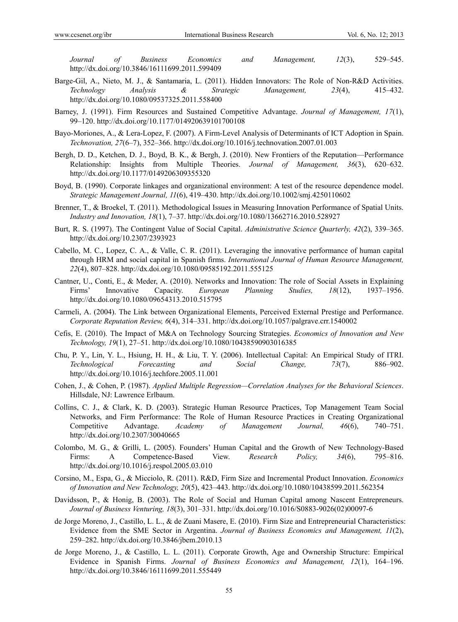*Journal of Business Economics and Management, 12*(3), 529–545. http://dx.doi.org/10.3846/16111699.2011.599409

- Barge-Gil, A., Nieto, M. J., & Santamaria, L. (2011). Hidden Innovators: The Role of Non-R&D Activities. *Technology Analysis & Strategic Management, 23*(4), 415–432. http://dx.doi.org/10.1080/09537325.2011.558400
- Barney, J. (1991). Firm Resources and Sustained Competitive Advantage. *Journal of Management, 17*(1), 99–120. http://dx.doi.org/10.1177/014920639101700108
- Bayo-Moriones, A., & Lera-Lopez, F. (2007). A Firm-Level Analysis of Determinants of ICT Adoption in Spain. *Technovation, 27*(6–7), 352–366. http://dx.doi.org/10.1016/j.technovation.2007.01.003
- Bergh, D. D., Ketchen, D. J., Boyd, B. K., & Bergh, J. (2010). New Frontiers of the Reputation—Performance Relationship: Insights from Multiple Theories. *Journal of Management, 36*(3), 620–632. http://dx.doi.org/10.1177/0149206309355320
- Boyd, B. (1990). Corporate linkages and organizational environment: A test of the resource dependence model. *Strategic Management Journal, 11*(6), 419–430. http://dx.doi.org/10.1002/smj.4250110602
- Brenner, T., & Broekel, T. (2011). Methodological Issues in Measuring Innovation Performance of Spatial Units. *Industry and Innovation, 18*(1), 7–37. http://dx.doi.org/10.1080/13662716.2010.528927
- Burt, R. S. (1997). The Contingent Value of Social Capital. *Administrative Science Quarterly, 42*(2), 339–365. http://dx.doi.org/10.2307/2393923
- Cabello, M. C., Lopez, C. A., & Valle, C. R. (2011). Leveraging the innovative performance of human capital through HRM and social capital in Spanish firms. *International Journal of Human Resource Management, 22*(4), 807–828. http://dx.doi.org/10.1080/09585192.2011.555125
- Cantner, U., Conti, E., & Meder, A. (2010). Networks and Innovation: The role of Social Assets in Explaining Firms' Innovative Capacity. *European Planning Studies, 18*(12), 1937–1956. http://dx.doi.org/10.1080/09654313.2010.515795
- Carmeli, A. (2004). The Link between Organizational Elements, Perceived External Prestige and Performance. *Corporate Reputation Review, 6*(4), 314–331. http://dx.doi.org/10.1057/palgrave.crr.1540002
- Cefis, E. (2010). The Impact of M&A on Technology Sourcing Strategies. *Economics of Innovation and New Technology, 19*(1), 27–51. http://dx.doi.org/10.1080/10438590903016385
- Chu, P. Y., Lin, Y. L., Hsiung, H. H., & Liu, T. Y. (2006). Intellectual Capital: An Empirical Study of ITRI. *Technological Forecasting and Social Change, 73*(7), 886–902. http://dx.doi.org/10.1016/j.techfore.2005.11.001
- Cohen, J., & Cohen, P. (1987). *Applied Multiple Regression—Correlation Analyses for the Behavioral Sciences*. Hillsdale, NJ: Lawrence Erlbaum.
- Collins, C. J., & Clark, K. D. (2003). Strategic Human Resource Practices, Top Management Team Social Networks, and Firm Performance: The Role of Human Resource Practices in Creating Organizational Competitive Advantage. *Academy of Management Journal, 46*(6), 740–751. http://dx.doi.org/10.2307/30040665
- Colombo, M. G., & Grilli, L. (2005). Founders' Human Capital and the Growth of New Technology-Based Firms: A Competence-Based View. *Research Policy, 34*(6), 795–816. http://dx.doi.org/10.1016/j.respol.2005.03.010
- Corsino, M., Espa, G., & Micciolo, R. (2011). R&D, Firm Size and Incremental Product Innovation. *Economics of Innovation and New Technology, 20*(5), 423–443. http://dx.doi.org/10.1080/10438599.2011.562354
- Davidsson, P., & Honig, B. (2003). The Role of Social and Human Capital among Nascent Entrepreneurs. *Journal of Business Venturing, 18*(3), 301–331. http://dx.doi.org/10.1016/S0883-9026(02)00097-6
- de Jorge Moreno, J., Castillo, L. L., & de Zuani Masere, E. (2010). Firm Size and Entrepreneurial Characteristics: Evidence from the SME Sector in Argentina. *Journal of Business Economics and Management, 11*(2), 259–282. http://dx.doi.org/10.3846/jbem.2010.13
- de Jorge Moreno, J., & Castillo, L. L. (2011). Corporate Growth, Age and Ownership Structure: Empirical Evidence in Spanish Firms. *Journal of Business Economics and Management, 12*(1), 164–196. http://dx.doi.org/10.3846/16111699.2011.555449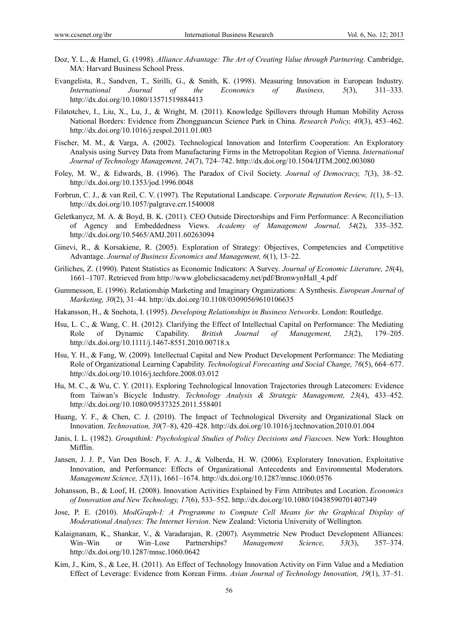- Doz, Y. L., & Hamel, G. (1998). *Alliance Advantage: The Art of Creating Value through Partnering*. Cambridge, MA: Harvard Business School Press.
- Evangelista, R., Sandven, T., Sirilli, G., & Smith, K. (1998). Measuring Innovation in European Industry. *International Journal of the Economics of Business, 5*(3), 311–333. http://dx.doi.org/10.1080/13571519884413
- Filatotchev, I., Liu, X., Lu, J., & Wright, M. (2011). Knowledge Spillovers through Human Mobility Across National Borders: Evidence from Zhongguancun Science Park in China. *Research Policy, 40*(3), 453–462. http://dx.doi.org/10.1016/j.respol.2011.01.003
- Fischer, M. M., & Varga, A. (2002). Technological Innovation and Interfirm Cooperation: An Exploratory Analysis using Survey Data from Manufacturing Firms in the Metropolitan Region of Vienna. *International Journal of Technology Management, 24*(7), 724–742. http://dx.doi.org/10.1504/IJTM.2002.003080
- Foley, M. W., & Edwards, B. (1996). The Paradox of Civil Society. *Journal of Democracy, 7*(3), 38–52. http://dx.doi.org/10.1353/jod.1996.0048
- Forbrun, C. J., & van Reil, C. V. (1997). The Reputational Landscape. *Corporate Reputation Review, 1*(1), 5–13. http://dx.doi.org/10.1057/palgrave.crr.1540008
- Geletkanycz, M. A. & Boyd, B. K. (2011). CEO Outside Directorships and Firm Performance: A Reconciliation of Agency and Embeddedness Views. *Academy of Management Journal, 54*(2), 335–352. http://dx.doi.org/10.5465/AMJ.2011.60263094
- Ginevi, R., & Korsakiene, R. (2005). Exploration of Strategy: Objectives, Competencies and Competitive Advantage. *Journal of Business Economics and Management, 6*(1), 13–22.
- Griliches, Z. (1990). Patent Statistics as Economic Indicators: A Survey. *Journal of Economic Literature, 28*(4), 1661–1707. Retrieved from http://www.globelicsacademy.net/pdf/BronwynHall\_4.pdf
- Gummesson, E. (1996). Relationship Marketing and Imaginary Organizations: A Synthesis. *European Journal of Marketing, 30*(2), 31–44. http://dx.doi.org/10.1108/03090569610106635
- Hakansson, H., & Snehota, I. (1995). *Developing Relationships in Business Networks*. London: Routledge.
- Hsu, L. C., & Wang, C. H. (2012). Clarifying the Effect of Intellectual Capital on Performance: The Mediating Role of Dynamic Capability. *British Journal of Management, 23*(2), 179–205. http://dx.doi.org/10.1111/j.1467-8551.2010.00718.x
- Hsu, Y. H., & Fang, W. (2009). Intellectual Capital and New Product Development Performance: The Mediating Role of Organizational Learning Capability. *Technological Forecasting and Social Change, 76*(5), 664–677. http://dx.doi.org/10.1016/j.techfore.2008.03.012
- Hu, M. C., & Wu, C. Y. (2011). Exploring Technological Innovation Trajectories through Latecomers: Evidence from Taiwan's Bicycle Industry. *Technology Analysis & Strategic Management, 23*(4), 433–452. http://dx.doi.org/10.1080/09537325.2011.558401
- Huang, Y. F., & Chen, C. J. (2010). The Impact of Technological Diversity and Organizational Slack on Innovation. *Technovation, 30*(7–8), 420–428. http://dx.doi.org/10.1016/j.technovation.2010.01.004
- Janis, I. L. (1982). *Groupthink: Psychological Studies of Policy Decisions and Fiascoes*. New York: Houghton Mifflin.
- Jansen, J. J. P., Van Den Bosch, F. A. J., & Volberda, H. W. (2006). Exploratery Innovation, Exploitative Innovation, and Performance: Effects of Organizational Antecedents and Environmental Moderators. *Management Science, 52*(11), 1661–1674. http://dx.doi.org/10.1287/mnsc.1060.0576
- Johansson, B., & Loof, H. (2008). Innovation Activities Explained by Firm Attributes and Location. *Economics of Innovation and New Technology, 17*(6), 533–552. http://dx.doi.org/10.1080/10438590701407349
- Jose, P. E. (2010). *ModGraph-I: A Programme to Compute Cell Means for the Graphical Display of Moderational Analyses: The Internet Version*. New Zealand: Victoria University of Wellington.
- Kalaignanam, K., Shankar, V., & Varadarajan, R. (2007). Asymmetric New Product Development Alliances: Win–Win or Win–Lose Partnerships? *Management Science, 53*(3), 357–374. http://dx.doi.org/10.1287/mnsc.1060.0642
- Kim, J., Kim, S., & Lee, H. (2011). An Effect of Technology Innovation Activity on Firm Value and a Mediation Effect of Leverage: Evidence from Korean Firms. *Asian Journal of Technology Innovation, 19*(1), 37–51.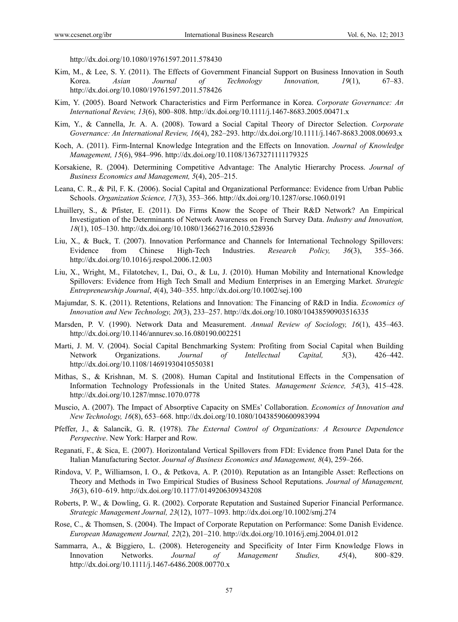http://dx.doi.org/10.1080/19761597.2011.578430

- Kim, M., & Lee, S. Y. (2011). The Effects of Government Financial Support on Business Innovation in South Korea. *Asian Journal of Technology Innovation, 19*(1), 67–83. http://dx.doi.org/10.1080/19761597.2011.578426
- Kim, Y. (2005). Board Network Characteristics and Firm Performance in Korea. *Corporate Governance: An International Review, 13*(6), 800–808. http://dx.doi.org/10.1111/j.1467-8683.2005.00471.x
- Kim, Y., & Cannella, Jr. A. A. (2008). Toward a Social Capital Theory of Director Selection. *Corporate Governance: An International Review, 16*(4), 282–293. http://dx.doi.org/10.1111/j.1467-8683.2008.00693.x
- Koch, A. (2011). Firm-Internal Knowledge Integration and the Effects on Innovation. *Journal of Knowledge Management, 15*(6), 984–996. http://dx.doi.org/10.1108/13673271111179325
- Korsakiene, R. (2004). Determining Competitive Advantage: The Analytic Hierarchy Process. *Journal of Business Economics and Management, 5*(4), 205–215.
- Leana, C. R., & Pil, F. K. (2006). Social Capital and Organizational Performance: Evidence from Urban Public Schools. *Organization Science, 17*(3), 353–366. http://dx.doi.org/10.1287/orsc.1060.0191
- Lhuillery, S., & Pfister, E. (2011). Do Firms Know the Scope of Their R&D Network? An Empirical Investigation of the Determinants of Network Awareness on French Survey Data. *Industry and Innovation, 18*(1), 105–130. http://dx.doi.org/10.1080/13662716.2010.528936
- Liu, X., & Buck, T. (2007). Innovation Performance and Channels for International Technology Spillovers: Evidence from Chinese High-Tech Industries. *Research Policy, 36*(3), 355–366. http://dx.doi.org/10.1016/j.respol.2006.12.003
- Liu, X., Wright, M., Filatotchev, I., Dai, O., & Lu, J. (2010). Human Mobility and International Knowledge Spillovers: Evidence from High Tech Small and Medium Enterprises in an Emerging Market. *Strategic Entrepreneurship Journal*, *4*(4), 340–355. http://dx.doi.org/10.1002/sej.100
- Majumdar, S. K. (2011). Retentions, Relations and Innovation: The Financing of R&D in India. *Economics of Innovation and New Technology, 20*(3), 233–257. http://dx.doi.org/10.1080/10438590903516335
- Marsden, P. V. (1990). Network Data and Measurement. *Annual Review of Sociology, 16*(1), 435–463. http://dx.doi.org/10.1146/annurev.so.16.080190.002251
- Marti, J. M. V. (2004). Social Capital Benchmarking System: Profiting from Social Capital when Building Network Organizations. *Journal of Intellectual Capital, 5*(3), 426–442. http://dx.doi.org/10.1108/14691930410550381
- Mithas, S., & Krishnan, M. S. (2008). Human Capital and Institutional Effects in the Compensation of Information Technology Professionals in the United States. *Management Science, 54*(3), 415–428. http://dx.doi.org/10.1287/mnsc.1070.0778
- Muscio, A. (2007). The Impact of Absorptive Capacity on SMEs' Collaboration. *Economics of Innovation and New Technology, 16*(8), 653–668. http://dx.doi.org/10.1080/10438590600983994
- Pfeffer, J., & Salancik, G. R. (1978). *The External Control of Organizations: A Resource Dependence Perspective*. New York: Harper and Row.
- Reganati, F., & Sica, E. (2007). Horizontaland Vertical Spillovers from FDI: Evidence from Panel Data for the Italian Manufacturing Sector. *Journal of Business Economics and Management, 8*(4), 259–266.
- Rindova, V. P., Williamson, I. O., & Petkova, A. P. (2010). Reputation as an Intangible Asset: Reflections on Theory and Methods in Two Empirical Studies of Business School Reputations. *Journal of Management, 36*(3), 610–619. http://dx.doi.org/10.1177/0149206309343208
- Roberts, P. W., & Dowling, G. R. (2002). Corporate Reputation and Sustained Superior Financial Performance. *Strategic Management Journal, 23*(12), 1077–1093. http://dx.doi.org/10.1002/smj.274
- Rose, C., & Thomsen, S. (2004). The Impact of Corporate Reputation on Performance: Some Danish Evidence. *European Management Journal, 22*(2), 201–210. http://dx.doi.org/10.1016/j.emj.2004.01.012
- Sammarra, A., & Biggiero, L. (2008). Heterogeneity and Specificity of Inter Firm Knowledge Flows in Innovation Networks. *Journal of Management Studies, 45*(4), 800–829. http://dx.doi.org/10.1111/j.1467-6486.2008.00770.x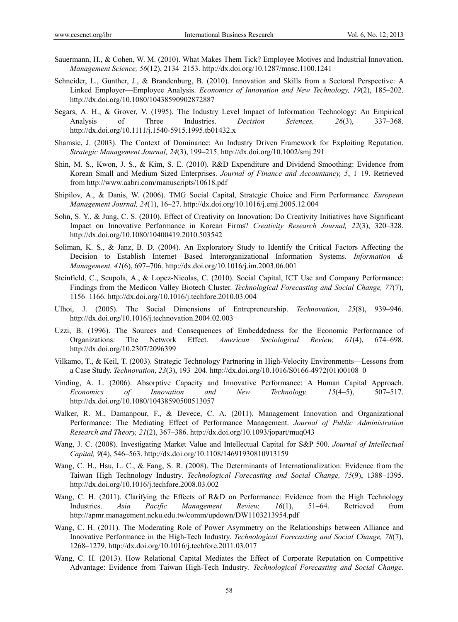- Sauermann, H., & Cohen, W. M. (2010). What Makes Them Tick? Employee Motives and Industrial Innovation. *Management Science, 56*(12), 2134–2153. http://dx.doi.org/10.1287/mnsc.1100.1241
- Schneider, L., Gunther, J., & Brandenburg, B. (2010). Innovation and Skills from a Sectoral Perspective: A Linked Employer—Employee Analysis. *Economics of Innovation and New Technology, 19*(2), 185–202. http://dx.doi.org/10.1080/10438590902872887
- Segars, A. H., & Grover, V. (1995). The Industry Level Impact of Information Technology: An Empirical Analysis of Three Industries. *Decision Sciences, 26*(3), 337–368. http://dx.doi.org/10.1111/j.1540-5915.1995.tb01432.x
- Shamsie, J. (2003). The Context of Dominance: An Industry Driven Framework for Exploiting Reputation. *Strategic Management Journal, 24*(3), 199–215. http://dx.doi.org/10.1002/smj.291
- Shin, M. S., Kwon, J. S., & Kim, S. E. (2010). R&D Expenditure and Dividend Smoothing: Evidence from Korean Small and Medium Sized Enterprises. *Journal of Finance and Accountancy, 5*, 1–19. Retrieved from http://www.aabri.com/manuscripts/10618.pdf
- Shipilov, A., & Danis, W. (2006). TMG Social Capital, Strategic Choice and Firm Performance. *European Management Journal, 24*(1), 16–27. http://dx.doi.org/10.1016/j.emj.2005.12.004
- Sohn, S. Y., & Jung, C. S. (2010). Effect of Creativity on Innovation: Do Creativity Initiatives have Significant Impact on Innovative Performance in Korean Firms? *Creativity Research Journal, 22*(3), 320–328. http://dx.doi.org/10.1080/10400419.2010.503542
- Soliman, K. S., & Janz, B. D. (2004). An Exploratory Study to Identify the Critical Factors Affecting the Decision to Establish Internet—Based Interorganizational Information Systems. *Information & Management, 41*(6), 697–706. http://dx.doi.org/10.1016/j.im.2003.06.001
- Steinfield, C., Scupola, A., & Lopez-Nicolas, C. (2010). Social Capital, ICT Use and Company Performance: Findings from the Medicon Valley Biotech Cluster. *Technological Forecasting and Social Change, 77*(7), 1156–1166. http://dx.doi.org/10.1016/j.techfore.2010.03.004
- Ulhoi, J. (2005). The Social Dimensions of Entrepreneurship. *Technovation, 25*(8), 939–946. http://dx.doi.org/10.1016/j.technovation.2004.02.003
- Uzzi, B. (1996). The Sources and Consequences of Embeddedness for the Economic Performance of Organizations: The Network Effect. *American Sociological Review, 61*(4), 674–698. http://dx.doi.org/10.2307/2096399
- Vilkamo, T., & Keil, T. (2003). Strategic Technology Partnering in High-Velocity Environments—Lessons from a Case Study. *Technovation*, *23*(3), 193–204. http://dx.doi.org/10.1016/S0166-4972(01)00108–0
- Vinding, A. L. (2006). Absorptive Capacity and Innovative Performance: A Human Capital Approach. *Economics of Innovation and New Technology, 15*(4–5), 507–517. http://dx.doi.org/10.1080/10438590500513057
- Walker, R. M., Damanpour, F., & Devece, C. A. (2011). Management Innovation and Organizational Performance: The Mediating Effect of Performance Management. *Journal of Public Administration Research and Theory, 21*(2), 367–386. http://dx.doi.org/10.1093/jopart/muq043
- Wang, J. C. (2008). Investigating Market Value and Intellectual Capital for S&P 500. *Journal of Intellectual Capital, 9*(4), 546–563. http://dx.doi.org/10.1108/14691930810913159
- Wang, C. H., Hsu, L. C., & Fang, S. R. (2008). The Determinants of Internationalization: Evidence from the Taiwan High Technology Industry. *Technological Forecasting and Social Change, 75*(9), 1388–1395. http://dx.doi.org/10.1016/j.techfore.2008.03.002
- Wang, C. H. (2011). Clarifying the Effects of R&D on Performance: Evidence from the High Technology Industries. *Asia Pacific Management Review, 16*(1), 51–64. Retrieved from http://apmr.management.ncku.edu.tw/comm/updown/DW1103213954.pdf
- Wang, C. H. (2011). The Moderating Role of Power Asymmetry on the Relationships between Alliance and Innovative Performance in the High-Tech Industry. *Technological Forecasting and Social Change, 78*(7), 1268–1279. http://dx.doi.org/10.1016/j.techfore.2011.03.017
- Wang, C. H. (2013). How Relational Capital Mediates the Effect of Corporate Reputation on Competitive Advantage: Evidence from Taiwan High-Tech Industry. *Technological Forecasting and Social Change*.